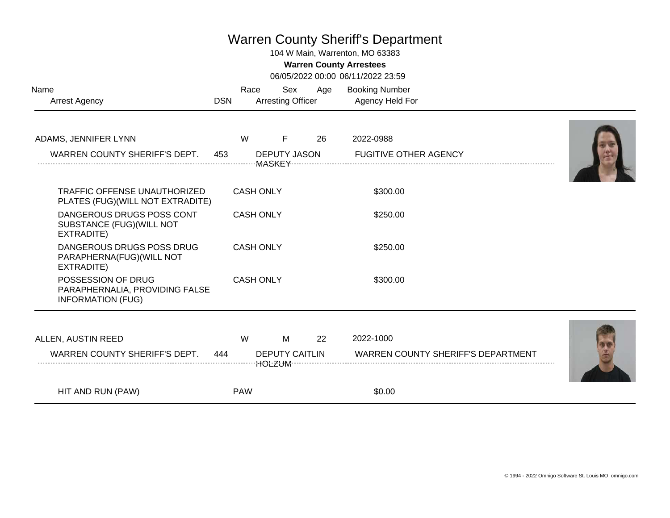## Warren County Sheriff's Department

104 W Main, Warrenton, MO 63383

**Warren County Arrestees**

06/05/2022 00:00 06/11/2022 23:59

| Name<br><b>Arrest Agency</b>                                                     | <b>DSN</b> | Race             | Sex<br><b>Arresting Officer</b> | Age | <b>Booking Number</b><br>Agency Held For  |  |
|----------------------------------------------------------------------------------|------------|------------------|---------------------------------|-----|-------------------------------------------|--|
| ADAMS, JENNIFER LYNN                                                             |            | W                | F                               | 26  | 2022-0988                                 |  |
| WARREN COUNTY SHERIFF'S DEPT.                                                    | 453        |                  | <b>DEPUTY JASON</b>             |     | <b>FUGITIVE OTHER AGENCY</b>              |  |
| <b>TRAFFIC OFFENSE UNAUTHORIZED</b><br>PLATES (FUG)(WILL NOT EXTRADITE)          |            | <b>CASH ONLY</b> |                                 |     | \$300.00                                  |  |
| DANGEROUS DRUGS POSS CONT<br>SUBSTANCE (FUG) (WILL NOT<br>EXTRADITE)             |            | <b>CASH ONLY</b> |                                 |     | \$250.00                                  |  |
| DANGEROUS DRUGS POSS DRUG<br>PARAPHERNA(FUG)(WILL NOT<br>EXTRADITE)              |            | <b>CASH ONLY</b> |                                 |     | \$250.00                                  |  |
| POSSESSION OF DRUG<br>PARAPHERNALIA, PROVIDING FALSE<br><b>INFORMATION (FUG)</b> |            | <b>CASH ONLY</b> |                                 |     | \$300.00                                  |  |
| ALLEN, AUSTIN REED                                                               |            | W                | М                               | 22  | 2022-1000                                 |  |
| WARREN COUNTY SHERIFF'S DEPT.                                                    | 444        |                  | <b>DEPUTY CAITLIN</b>           |     | <b>WARREN COUNTY SHERIFF'S DEPARTMENT</b> |  |
| HIT AND RUN (PAW)                                                                |            | <b>PAW</b>       |                                 |     | \$0.00                                    |  |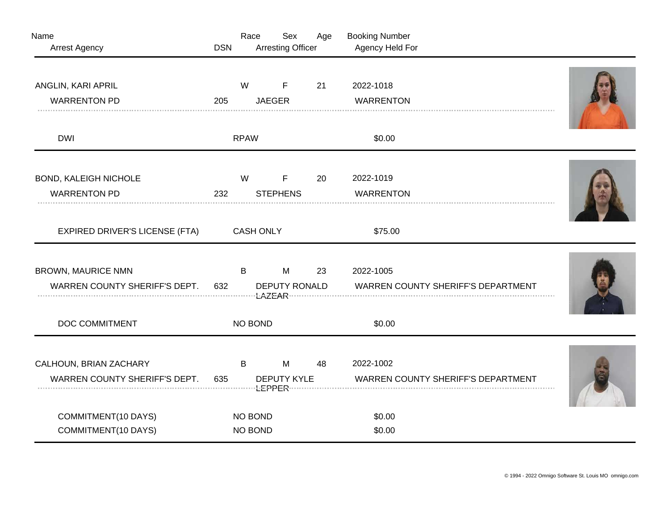| Name<br><b>Arrest Agency</b>                               | <b>DSN</b> | Race               | Sex<br><b>Arresting Officer</b> | Age | <b>Booking Number</b><br>Agency Held For               |  |
|------------------------------------------------------------|------------|--------------------|---------------------------------|-----|--------------------------------------------------------|--|
| ANGLIN, KARI APRIL<br><b>WARRENTON PD</b>                  | 205        | W                  | F<br><b>JAEGER</b>              | 21  | 2022-1018<br><b>WARRENTON</b>                          |  |
| <b>DWI</b>                                                 |            | <b>RPAW</b>        |                                 |     | \$0.00                                                 |  |
| <b>BOND, KALEIGH NICHOLE</b><br><b>WARRENTON PD</b>        | 232        | W                  | F<br><b>STEPHENS</b>            | 20  | 2022-1019<br><b>WARRENTON</b>                          |  |
| <b>EXPIRED DRIVER'S LICENSE (FTA)</b>                      |            | <b>CASH ONLY</b>   |                                 |     | \$75.00                                                |  |
| <b>BROWN, MAURICE NMN</b><br>WARREN COUNTY SHERIFF'S DEPT. | 632        | B                  | M<br><b>DEPUTY RONALD</b>       | 23  | 2022-1005<br><b>WARREN COUNTY SHERIFF'S DEPARTMENT</b> |  |
| DOC COMMITMENT                                             |            | NO BOND            |                                 |     | \$0.00                                                 |  |
| CALHOUN, BRIAN ZACHARY<br>WARREN COUNTY SHERIFF'S DEPT.    | 635        | B                  | M<br><b>DEPUTY KYLE</b>         | 48  | 2022-1002<br>WARREN COUNTY SHERIFF'S DEPARTMENT        |  |
| COMMITMENT(10 DAYS)<br><b>COMMITMENT(10 DAYS)</b>          |            | NO BOND<br>NO BOND |                                 |     | \$0.00<br>\$0.00                                       |  |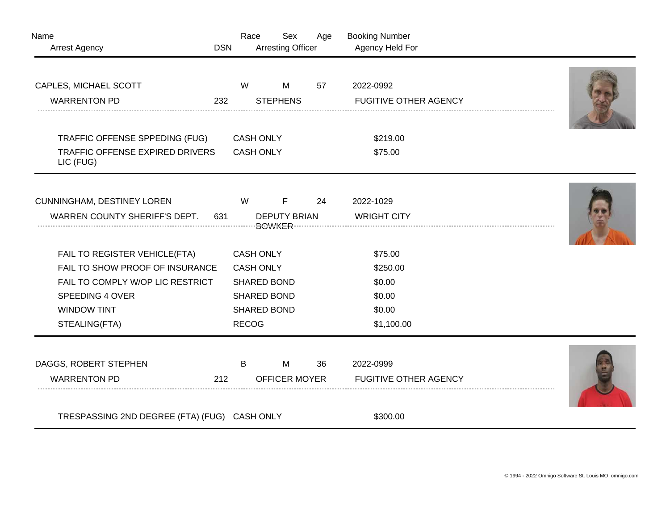| Name<br><b>Arrest Agency</b>                                       | <b>DSN</b> | Race             | Sex<br><b>Arresting Officer</b> | Age | <b>Booking Number</b><br>Agency Held For |  |
|--------------------------------------------------------------------|------------|------------------|---------------------------------|-----|------------------------------------------|--|
| CAPLES, MICHAEL SCOTT                                              |            | W                | M                               | 57  | 2022-0992                                |  |
| <b>WARRENTON PD</b>                                                | 232        |                  | <b>STEPHENS</b>                 |     | <b>FUGITIVE OTHER AGENCY</b>             |  |
| TRAFFIC OFFENSE SPPEDING (FUG)                                     |            | <b>CASH ONLY</b> |                                 |     | \$219.00                                 |  |
| TRAFFIC OFFENSE EXPIRED DRIVERS<br>LIC (FUG)                       |            | <b>CASH ONLY</b> |                                 |     | \$75.00                                  |  |
|                                                                    |            |                  |                                 |     |                                          |  |
| <b>CUNNINGHAM, DESTINEY LOREN</b><br>WARREN COUNTY SHERIFF'S DEPT. | 631        | W                | F<br><b>DEPUTY BRIAN</b>        | 24  | 2022-1029<br><b>WRIGHT CITY</b>          |  |
| FAIL TO REGISTER VEHICLE(FTA)                                      |            | <b>CASH ONLY</b> |                                 |     | \$75.00                                  |  |
| FAIL TO SHOW PROOF OF INSURANCE                                    |            | <b>CASH ONLY</b> |                                 |     | \$250.00                                 |  |
| FAIL TO COMPLY W/OP LIC RESTRICT                                   |            |                  | <b>SHARED BOND</b>              |     | \$0.00                                   |  |
| SPEEDING 4 OVER                                                    |            |                  | <b>SHARED BOND</b>              |     | \$0.00                                   |  |
| <b>WINDOW TINT</b>                                                 |            |                  | <b>SHARED BOND</b>              |     | \$0.00                                   |  |
| STEALING(FTA)                                                      |            | <b>RECOG</b>     |                                 |     | \$1,100.00                               |  |
| DAGGS, ROBERT STEPHEN                                              |            | B                | M                               | 36  | 2022-0999                                |  |
| <b>WARRENTON PD</b>                                                | 212        |                  | <b>OFFICER MOYER</b>            |     | <b>FUGITIVE OTHER AGENCY</b>             |  |
| TRESPASSING 2ND DEGREE (FTA) (FUG) CASH ONLY                       |            |                  |                                 |     | \$300.00                                 |  |
|                                                                    |            |                  |                                 |     |                                          |  |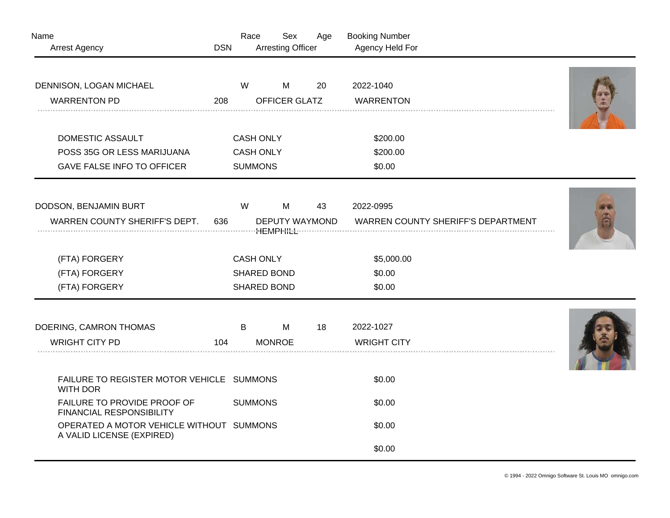| Name<br><b>Arrest Agency</b>                                                                             | <b>DSN</b> | Race                                                   | Sex<br><b>Arresting Officer</b>   | Age | <b>Booking Number</b><br>Agency Held For               |  |
|----------------------------------------------------------------------------------------------------------|------------|--------------------------------------------------------|-----------------------------------|-----|--------------------------------------------------------|--|
| DENNISON, LOGAN MICHAEL<br><b>WARRENTON PD</b>                                                           | 208        | W                                                      | M<br>OFFICER GLATZ                | 20  | 2022-1040<br><b>WARRENTON</b>                          |  |
| DOMESTIC ASSAULT<br>POSS 35G OR LESS MARIJUANA<br><b>GAVE FALSE INFO TO OFFICER</b>                      |            | <b>CASH ONLY</b><br><b>CASH ONLY</b><br><b>SUMMONS</b> |                                   |     | \$200.00<br>\$200.00<br>\$0.00                         |  |
| DODSON, BENJAMIN BURT<br>WARREN COUNTY SHERIFF'S DEPT.                                                   | 636        | W                                                      | M<br>DEPUTY WAYMOND               | 43  | 2022-0995<br><b>WARREN COUNTY SHERIFF'S DEPARTMENT</b> |  |
| (FTA) FORGERY<br>(FTA) FORGERY<br>(FTA) FORGERY                                                          |            | <b>CASH ONLY</b>                                       | <b>SHARED BOND</b><br>SHARED BOND |     | \$5,000.00<br>\$0.00<br>\$0.00                         |  |
| DOERING, CAMRON THOMAS<br><b>WRIGHT CITY PD</b>                                                          | 104        | B                                                      | M<br><b>MONROE</b>                | 18  | 2022-1027<br><b>WRIGHT CITY</b>                        |  |
| FAILURE TO REGISTER MOTOR VEHICLE SUMMONS<br><b>WITH DOR</b><br>FAILURE TO PROVIDE PROOF OF              |            | <b>SUMMONS</b>                                         |                                   |     | \$0.00<br>\$0.00                                       |  |
| <b>FINANCIAL RESPONSIBILITY</b><br>OPERATED A MOTOR VEHICLE WITHOUT SUMMONS<br>A VALID LICENSE (EXPIRED) |            |                                                        |                                   |     | \$0.00<br>\$0.00                                       |  |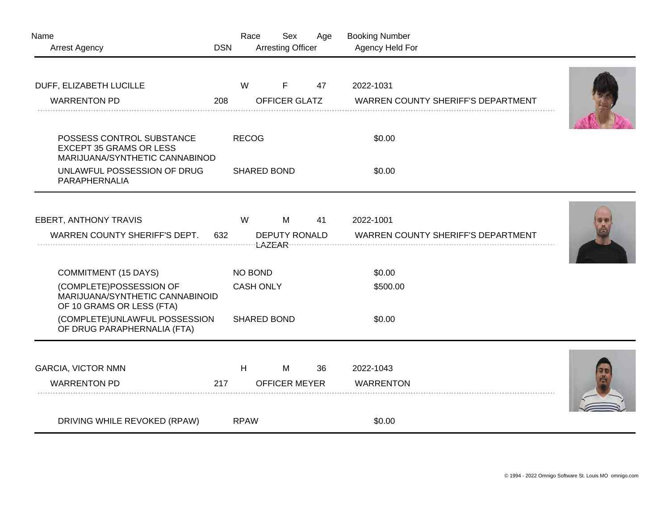| Name<br><b>Arrest Agency</b>                                                                  | <b>DSN</b> | Race               | Sex<br><b>Arresting Officer</b> | Age | <b>Booking Number</b><br>Agency Held For  |  |
|-----------------------------------------------------------------------------------------------|------------|--------------------|---------------------------------|-----|-------------------------------------------|--|
| DUFF, ELIZABETH LUCILLE                                                                       |            | W                  | F                               | 47  | 2022-1031                                 |  |
| <b>WARRENTON PD</b>                                                                           | 208        |                    | OFFICER GLATZ                   |     | <b>WARREN COUNTY SHERIFF'S DEPARTMENT</b> |  |
| POSSESS CONTROL SUBSTANCE<br><b>EXCEPT 35 GRAMS OR LESS</b><br>MARIJUANA/SYNTHETIC CANNABINOD |            | <b>RECOG</b>       |                                 |     | \$0.00                                    |  |
| UNLAWFUL POSSESSION OF DRUG<br>PARAPHERNALIA                                                  |            | <b>SHARED BOND</b> |                                 |     | \$0.00                                    |  |
| <b>EBERT, ANTHONY TRAVIS</b>                                                                  |            | W                  | M                               | 41  | 2022-1001                                 |  |
| WARREN COUNTY SHERIFF'S DEPT.                                                                 | 632        |                    | <b>DEPUTY RONALD</b>            |     | WARREN COUNTY SHERIFF'S DEPARTMENT        |  |
| <b>COMMITMENT (15 DAYS)</b>                                                                   |            | NO BOND            |                                 |     | \$0.00                                    |  |
| (COMPLETE)POSSESSION OF<br>MARIJUANA/SYNTHETIC CANNABINOID<br>OF 10 GRAMS OR LESS (FTA)       |            | <b>CASH ONLY</b>   |                                 |     | \$500.00                                  |  |
| (COMPLETE)UNLAWFUL POSSESSION<br>OF DRUG PARAPHERNALIA (FTA)                                  |            | <b>SHARED BOND</b> |                                 |     | \$0.00                                    |  |
| <b>GARCIA, VICTOR NMN</b>                                                                     |            | H                  | M                               | 36  | 2022-1043                                 |  |
| <b>WARRENTON PD</b>                                                                           | 217        |                    | <b>OFFICER MEYER</b>            |     | <b>WARRENTON</b>                          |  |
| DRIVING WHILE REVOKED (RPAW)                                                                  |            | <b>RPAW</b>        |                                 |     | \$0.00                                    |  |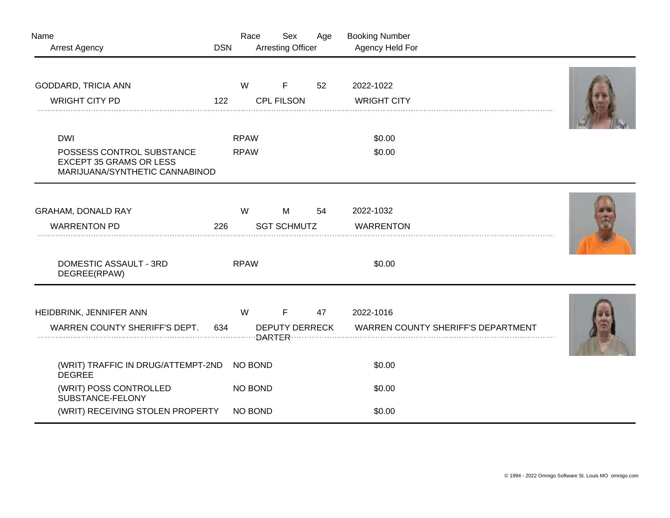| Name                                                                                          |            | Race                  | Sex                      | Age | <b>Booking Number</b>                     |  |
|-----------------------------------------------------------------------------------------------|------------|-----------------------|--------------------------|-----|-------------------------------------------|--|
| <b>Arrest Agency</b>                                                                          | <b>DSN</b> |                       | <b>Arresting Officer</b> |     | Agency Held For                           |  |
| GODDARD, TRICIA ANN                                                                           |            | W                     | F                        | 52  | 2022-1022                                 |  |
| <b>WRIGHT CITY PD</b>                                                                         | 122        |                       | <b>CPL FILSON</b>        |     | <b>WRIGHT CITY</b>                        |  |
| <b>DWI</b>                                                                                    |            | <b>RPAW</b>           |                          |     | \$0.00                                    |  |
| POSSESS CONTROL SUBSTANCE<br><b>EXCEPT 35 GRAMS OR LESS</b><br>MARIJUANA/SYNTHETIC CANNABINOD |            | <b>RPAW</b>           |                          |     | \$0.00                                    |  |
| <b>GRAHAM, DONALD RAY</b>                                                                     |            | W                     | M                        | 54  | 2022-1032                                 |  |
| <b>WARRENTON PD</b>                                                                           | 226        |                       | <b>SGT SCHMUTZ</b>       |     | <b>WARRENTON</b>                          |  |
| DOMESTIC ASSAULT - 3RD<br>DEGREE(RPAW)                                                        |            | <b>RPAW</b>           |                          |     | \$0.00                                    |  |
| HEIDBRINK, JENNIFER ANN                                                                       |            | W                     | $\mathsf F$              | 47  | 2022-1016                                 |  |
| WARREN COUNTY SHERIFF'S DEPT.                                                                 | 634        | <b>DEPUTY DERRECK</b> |                          |     | <b>WARREN COUNTY SHERIFF'S DEPARTMENT</b> |  |
| (WRIT) TRAFFIC IN DRUG/ATTEMPT-2ND<br><b>DEGREE</b>                                           |            | NO BOND               |                          |     | \$0.00                                    |  |
| (WRIT) POSS CONTROLLED<br>SUBSTANCE-FELONY                                                    |            | <b>NO BOND</b>        |                          |     | \$0.00                                    |  |
| (WRIT) RECEIVING STOLEN PROPERTY                                                              |            | NO BOND               |                          |     | \$0.00                                    |  |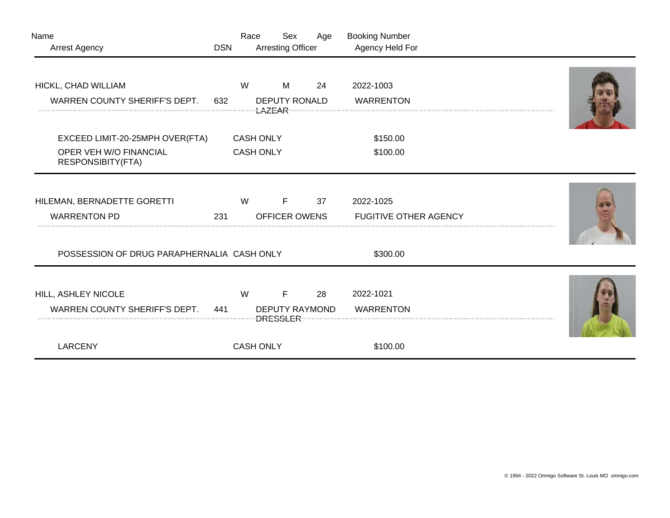| Name                                        |            | Race             | Sex                      | Age | <b>Booking Number</b>        |  |
|---------------------------------------------|------------|------------------|--------------------------|-----|------------------------------|--|
| Arrest Agency                               | <b>DSN</b> |                  | <b>Arresting Officer</b> |     | Agency Held For              |  |
| HICKL, CHAD WILLIAM                         |            | W                | М                        | 24  | 2022-1003                    |  |
| WARREN COUNTY SHERIFF'S DEPT.               | 632        |                  | <b>DEPUTY RONALD</b>     |     | <b>WARRENTON</b>             |  |
| EXCEED LIMIT-20-25MPH OVER(FTA)             |            | <b>CASH ONLY</b> |                          |     | \$150.00                     |  |
| OPER VEH W/O FINANCIAL<br>RESPONSIBITY(FTA) |            | <b>CASH ONLY</b> |                          |     | \$100.00                     |  |
| HILEMAN, BERNADETTE GORETTI                 |            | W                | F                        | 37  | 2022-1025                    |  |
| <b>WARRENTON PD</b>                         | 231        |                  | <b>OFFICER OWENS</b>     |     | <b>FUGITIVE OTHER AGENCY</b> |  |
| POSSESSION OF DRUG PARAPHERNALIA CASH ONLY  |            |                  |                          |     | \$300.00                     |  |
| HILL, ASHLEY NICOLE                         |            | W                | F                        | 28  | 2022-1021                    |  |
| WARREN COUNTY SHERIFF'S DEPT.               | 441        |                  | <b>DEPUTY RAYMOND</b>    |     | <b>WARRENTON</b>             |  |
| <b>LARCENY</b>                              |            | <b>CASH ONLY</b> |                          |     | \$100.00                     |  |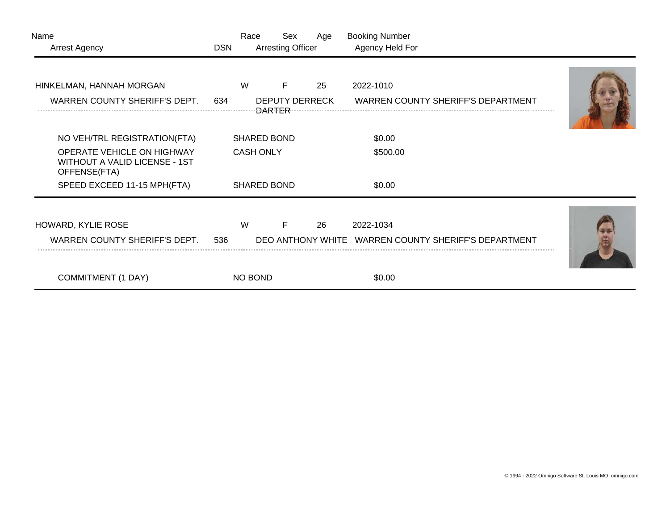| Name<br><b>Arrest Agency</b>                                                       | Race<br><b>DSN</b> | Sex<br><b>Arresting Officer</b> | Age | <b>Booking Number</b><br>Agency Held For                          |  |
|------------------------------------------------------------------------------------|--------------------|---------------------------------|-----|-------------------------------------------------------------------|--|
| HINKELMAN, HANNAH MORGAN                                                           | W                  | F                               | 25  | 2022-1010                                                         |  |
| WARREN COUNTY SHERIFF'S DEPT.                                                      | 634                | <b>DEPUTY DERRECK</b>           |     | <b>WARREN COUNTY SHERIFF'S DEPARTMENT</b>                         |  |
| NO VEH/TRL REGISTRATION(FTA)                                                       | <b>SHARED BOND</b> |                                 |     | \$0.00                                                            |  |
| OPERATE VEHICLE ON HIGHWAY<br><b>WITHOUT A VALID LICENSE - 1ST</b><br>OFFENSE(FTA) | <b>CASH ONLY</b>   |                                 |     | \$500.00                                                          |  |
| SPEED EXCEED 11-15 MPH(FTA)                                                        | <b>SHARED BOND</b> |                                 |     | \$0.00                                                            |  |
| HOWARD, KYLIE ROSE<br>WARREN COUNTY SHERIFF'S DEPT.                                | W<br>536           | F                               | 26  | 2022-1034<br>DEO ANTHONY WHITE WARREN COUNTY SHERIFF'S DEPARTMENT |  |
| <b>COMMITMENT (1 DAY)</b>                                                          | NO BOND            |                                 |     | \$0.00                                                            |  |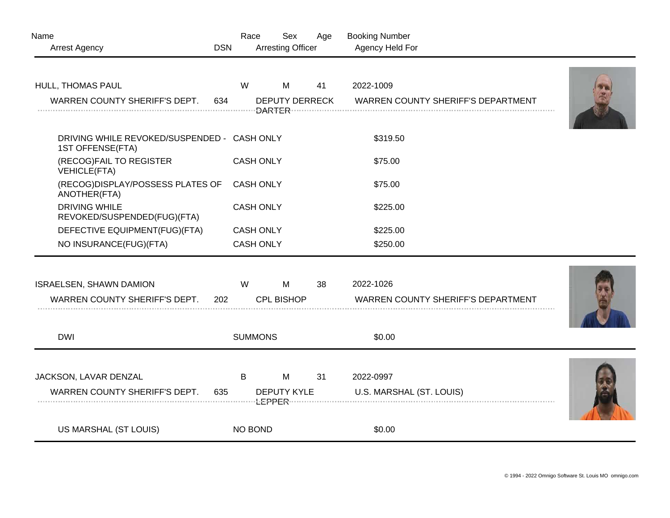| Name                                                            |            | Race             | Sex                        | Age | <b>Booking Number</b>                                  |  |
|-----------------------------------------------------------------|------------|------------------|----------------------------|-----|--------------------------------------------------------|--|
| <b>Arrest Agency</b>                                            | <b>DSN</b> |                  | <b>Arresting Officer</b>   |     | Agency Held For                                        |  |
| HULL, THOMAS PAUL<br>WARREN COUNTY SHERIFF'S DEPT.              | 634        | W                | M<br><b>DEPUTY DERRECK</b> | 41  | 2022-1009<br><b>WARREN COUNTY SHERIFF'S DEPARTMENT</b> |  |
| DRIVING WHILE REVOKED/SUSPENDED - CASH ONLY<br>1ST OFFENSE(FTA) |            |                  |                            |     | \$319.50                                               |  |
| (RECOG)FAIL TO REGISTER<br><b>VEHICLE(FTA)</b>                  |            | <b>CASH ONLY</b> |                            |     | \$75.00                                                |  |
| (RECOG)DISPLAY/POSSESS PLATES OF<br>ANOTHER(FTA)                |            | <b>CASH ONLY</b> |                            |     | \$75.00                                                |  |
| <b>DRIVING WHILE</b><br>REVOKED/SUSPENDED(FUG)(FTA)             |            | <b>CASH ONLY</b> |                            |     | \$225.00                                               |  |
| DEFECTIVE EQUIPMENT(FUG)(FTA)                                   |            | <b>CASH ONLY</b> |                            |     | \$225.00                                               |  |
| NO INSURANCE(FUG)(FTA)                                          |            | <b>CASH ONLY</b> |                            |     | \$250.00                                               |  |
| ISRAELSEN, SHAWN DAMION<br>WARREN COUNTY SHERIFF'S DEPT.        | 202        | W                | M<br><b>CPL BISHOP</b>     | 38  | 2022-1026<br><b>WARREN COUNTY SHERIFF'S DEPARTMENT</b> |  |
| <b>DWI</b>                                                      |            | <b>SUMMONS</b>   |                            |     | \$0.00                                                 |  |
| JACKSON, LAVAR DENZAL<br>WARREN COUNTY SHERIFF'S DEPT.          | 635        | B                | M<br><b>DEPUTY KYLE</b>    | 31  | 2022-0997<br>U.S. MARSHAL (ST. LOUIS)                  |  |
| US MARSHAL (ST LOUIS)                                           |            | NO BOND          |                            |     | \$0.00                                                 |  |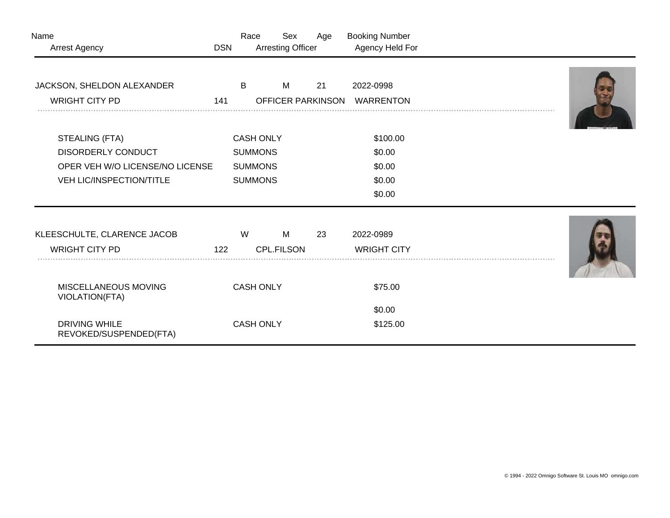| Name<br><b>Arrest Agency</b>                   | <b>DSN</b>       | Race | <b>Arresting Officer</b> | Sex | Age                      | <b>Booking Number</b><br>Agency Held For |  |
|------------------------------------------------|------------------|------|--------------------------|-----|--------------------------|------------------------------------------|--|
| JACKSON, SHELDON ALEXANDER                     |                  | B    |                          | M   | 21                       | 2022-0998                                |  |
| <b>WRIGHT CITY PD</b>                          | 141              |      |                          |     | <b>OFFICER PARKINSON</b> | <b>WARRENTON</b>                         |  |
| STEALING (FTA)                                 |                  |      | <b>CASH ONLY</b>         |     |                          | \$100.00                                 |  |
| <b>DISORDERLY CONDUCT</b>                      |                  |      | <b>SUMMONS</b>           |     |                          | \$0.00                                   |  |
| OPER VEH W/O LICENSE/NO LICENSE                |                  |      | <b>SUMMONS</b>           |     |                          | \$0.00                                   |  |
| VEH LIC/INSPECTION/TITLE                       |                  |      | <b>SUMMONS</b>           |     |                          | \$0.00                                   |  |
|                                                |                  |      |                          |     |                          | \$0.00                                   |  |
| KLEESCHULTE, CLARENCE JACOB                    |                  | W    |                          | M   | 23                       | 2022-0989                                |  |
| <b>WRIGHT CITY PD</b>                          | 122              |      | <b>CPL.FILSON</b>        |     |                          | <b>WRIGHT CITY</b>                       |  |
| MISCELLANEOUS MOVING<br>VIOLATION(FTA)         | <b>CASH ONLY</b> |      |                          |     |                          | \$75.00                                  |  |
|                                                |                  |      |                          |     |                          | \$0.00                                   |  |
| <b>DRIVING WHILE</b><br>REVOKED/SUSPENDED(FTA) |                  |      | <b>CASH ONLY</b>         |     |                          | \$125.00                                 |  |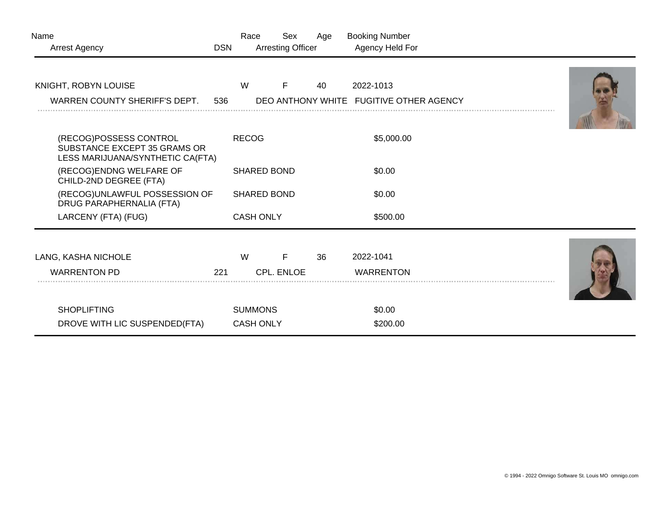| Name<br><b>Arrest Agency</b>                                                               | <b>DSN</b> | Race                               | Sex<br><b>Arresting Officer</b> | Age | <b>Booking Number</b><br>Agency Held For             |  |
|--------------------------------------------------------------------------------------------|------------|------------------------------------|---------------------------------|-----|------------------------------------------------------|--|
| KNIGHT, ROBYN LOUISE<br>WARREN COUNTY SHERIFF'S DEPT.                                      | 536        | W                                  | F                               | 40  | 2022-1013<br>DEO ANTHONY WHITE FUGITIVE OTHER AGENCY |  |
|                                                                                            |            |                                    |                                 |     |                                                      |  |
| (RECOG)POSSESS CONTROL<br>SUBSTANCE EXCEPT 35 GRAMS OR<br>LESS MARIJUANA/SYNTHETIC CA(FTA) |            | <b>RECOG</b>                       |                                 |     | \$5,000.00                                           |  |
| (RECOG)ENDNG WELFARE OF<br>CHILD-2ND DEGREE (FTA)                                          |            | <b>SHARED BOND</b>                 |                                 |     | \$0.00                                               |  |
| (RECOG)UNLAWFUL POSSESSION OF<br>DRUG PARAPHERNALIA (FTA)                                  |            | <b>SHARED BOND</b>                 |                                 |     | \$0.00                                               |  |
| LARCENY (FTA) (FUG)                                                                        |            | <b>CASH ONLY</b>                   |                                 |     | \$500.00                                             |  |
| LANG, KASHA NICHOLE                                                                        |            | W                                  | F                               | 36  | 2022-1041                                            |  |
| <b>WARRENTON PD</b>                                                                        | 221        |                                    | <b>CPL. ENLOE</b>               |     | <b>WARRENTON</b>                                     |  |
| <b>SHOPLIFTING</b><br>DROVE WITH LIC SUSPENDED(FTA)                                        |            | <b>SUMMONS</b><br><b>CASH ONLY</b> |                                 |     | \$0.00<br>\$200.00                                   |  |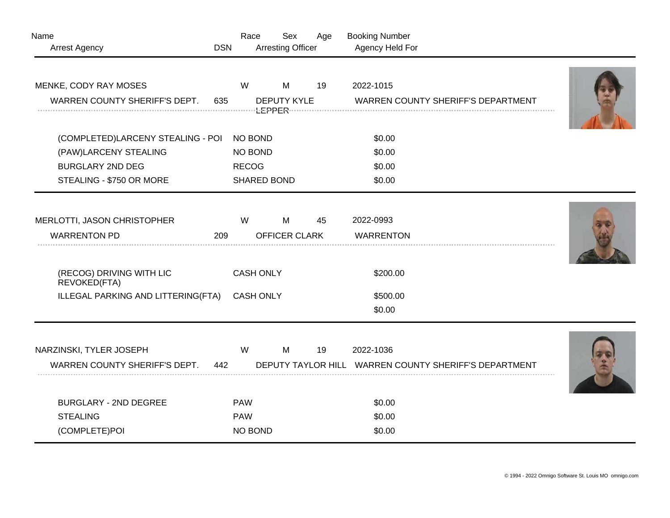| Name                                     |            | Race             | Sex                      | Age | <b>Booking Number</b>                                 |  |
|------------------------------------------|------------|------------------|--------------------------|-----|-------------------------------------------------------|--|
| <b>Arrest Agency</b>                     | <b>DSN</b> |                  | <b>Arresting Officer</b> |     | Agency Held For                                       |  |
| MENKE, CODY RAY MOSES                    |            | W                | M                        | 19  | 2022-1015                                             |  |
| WARREN COUNTY SHERIFF'S DEPT.            | 635        |                  | <b>DEPUTY KYLE</b>       |     | <b>WARREN COUNTY SHERIFF'S DEPARTMENT</b>             |  |
| (COMPLETED)LARCENY STEALING - POI        |            | NO BOND          |                          |     | \$0.00                                                |  |
| (PAW)LARCENY STEALING                    |            | NO BOND          |                          |     | \$0.00                                                |  |
| <b>BURGLARY 2ND DEG</b>                  |            | <b>RECOG</b>     |                          |     | \$0.00                                                |  |
| STEALING - \$750 OR MORE                 |            |                  | <b>SHARED BOND</b>       |     | \$0.00                                                |  |
| MERLOTTI, JASON CHRISTOPHER              |            | W                | M                        | 45  | 2022-0993                                             |  |
| <b>WARRENTON PD</b>                      | 209        |                  | <b>OFFICER CLARK</b>     |     | <b>WARRENTON</b>                                      |  |
| (RECOG) DRIVING WITH LIC<br>REVOKED(FTA) |            | <b>CASH ONLY</b> |                          |     | \$200.00                                              |  |
| ILLEGAL PARKING AND LITTERING(FTA)       |            | <b>CASH ONLY</b> |                          |     | \$500.00                                              |  |
|                                          |            |                  |                          |     | \$0.00                                                |  |
| NARZINSKI, TYLER JOSEPH                  |            | W                | M                        | 19  | 2022-1036                                             |  |
| WARREN COUNTY SHERIFF'S DEPT.            | 442        |                  |                          |     | DEPUTY TAYLOR HILL WARREN COUNTY SHERIFF'S DEPARTMENT |  |
| <b>BURGLARY - 2ND DEGREE</b>             |            | <b>PAW</b>       |                          |     | \$0.00                                                |  |
| <b>STEALING</b>                          |            | <b>PAW</b>       |                          |     | \$0.00                                                |  |
| (COMPLETE)POI                            |            | NO BOND          |                          |     | \$0.00                                                |  |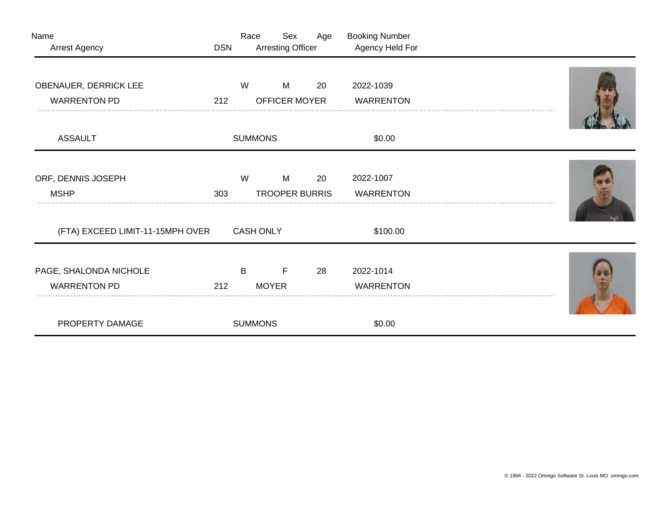| Name<br><b>Arrest Agency</b>                  | <b>DSN</b>     | Race             | Sex<br><b>Arresting Officer</b> | Age | <b>Booking Number</b><br>Agency Held For |            |  |
|-----------------------------------------------|----------------|------------------|---------------------------------|-----|------------------------------------------|------------|--|
| OBENAUER, DERRICK LEE<br><b>WARRENTON PD</b>  | 212            | W                | M<br>OFFICER MOYER              | 20  | 2022-1039<br><b>WARRENTON</b>            | <b>.</b> . |  |
| <b>ASSAULT</b>                                | <b>SUMMONS</b> |                  |                                 |     | \$0.00                                   |            |  |
| ORF, DENNIS JOSEPH<br><b>MSHP</b>             | 303            | W                | M<br><b>TROOPER BURRIS</b>      | 20  | 2022-1007<br><b>WARRENTON</b>            | .          |  |
| (FTA) EXCEED LIMIT-11-15MPH OVER              |                | <b>CASH ONLY</b> |                                 |     | \$100.00                                 |            |  |
| PAGE, SHALONDA NICHOLE<br><b>WARRENTON PD</b> | 212            | B                | $\mathsf F$<br><b>MOYER</b>     | 28  | 2022-1014<br><b>WARRENTON</b>            |            |  |
| PROPERTY DAMAGE                               |                | <b>SUMMONS</b>   |                                 |     | \$0.00                                   |            |  |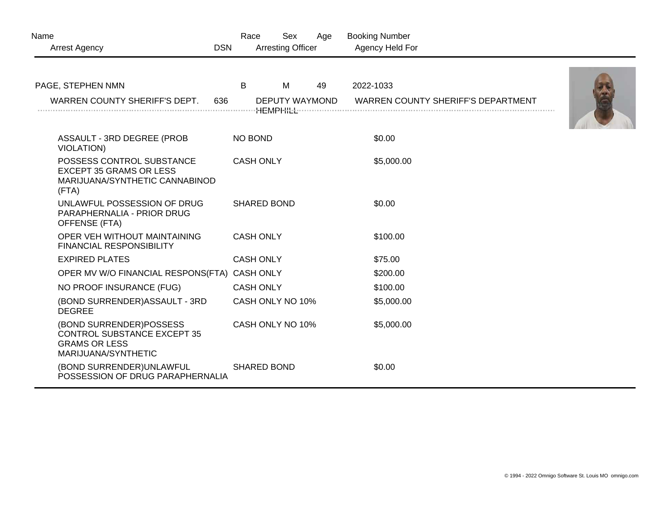| Name<br><b>DSN</b><br><b>Arrest Agency</b>                                                                   |   | Sex<br>Race<br><b>Arresting Officer</b> | Age | <b>Booking Number</b><br>Agency Held For  |  |
|--------------------------------------------------------------------------------------------------------------|---|-----------------------------------------|-----|-------------------------------------------|--|
| PAGE, STEPHEN NMN                                                                                            | B | M                                       | 49  | 2022-1033                                 |  |
| WARREN COUNTY SHERIFF'S DEPT.<br>636                                                                         |   | DEPUTY WAYMOND<br>.HEMPHILL             |     | <b>WARREN COUNTY SHERIFF'S DEPARTMENT</b> |  |
| ASSAULT - 3RD DEGREE (PROB<br><b>VIOLATION)</b>                                                              |   | NO BOND                                 |     | \$0.00                                    |  |
| POSSESS CONTROL SUBSTANCE<br><b>EXCEPT 35 GRAMS OR LESS</b><br>MARIJUANA/SYNTHETIC CANNABINOD<br>(FTA)       |   | <b>CASH ONLY</b>                        |     | \$5,000.00                                |  |
| UNLAWFUL POSSESSION OF DRUG<br>PARAPHERNALIA - PRIOR DRUG<br>OFFENSE (FTA)                                   |   | <b>SHARED BOND</b>                      |     | \$0.00                                    |  |
| OPER VEH WITHOUT MAINTAINING<br><b>FINANCIAL RESPONSIBILITY</b>                                              |   | <b>CASH ONLY</b>                        |     | \$100.00                                  |  |
| <b>EXPIRED PLATES</b>                                                                                        |   | <b>CASH ONLY</b>                        |     | \$75.00                                   |  |
| OPER MV W/O FINANCIAL RESPONS(FTA) CASH ONLY                                                                 |   |                                         |     | \$200.00                                  |  |
| NO PROOF INSURANCE (FUG)                                                                                     |   | <b>CASH ONLY</b>                        |     | \$100.00                                  |  |
| (BOND SURRENDER) ASSAULT - 3RD<br><b>DEGREE</b>                                                              |   | CASH ONLY NO 10%                        |     | \$5,000.00                                |  |
| (BOND SURRENDER)POSSESS<br><b>CONTROL SUBSTANCE EXCEPT 35</b><br><b>GRAMS OR LESS</b><br>MARIJUANA/SYNTHETIC |   | CASH ONLY NO 10%                        |     | \$5,000.00                                |  |
| (BOND SURRENDER) UNLAWFUL<br>POSSESSION OF DRUG PARAPHERNALIA                                                |   | <b>SHARED BOND</b>                      |     | \$0.00                                    |  |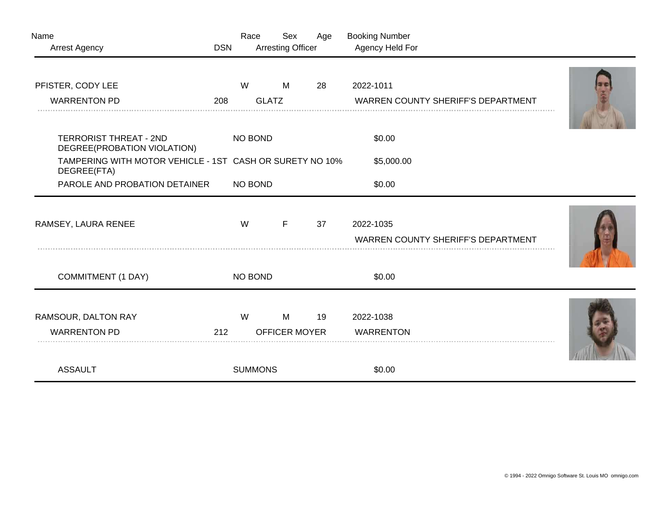| Name<br><b>Arrest Agency</b>                                            | <b>DSN</b> | Race           | <b>Arresting Officer</b> | Sex | Age | <b>Booking Number</b><br>Agency Held For               |  |
|-------------------------------------------------------------------------|------------|----------------|--------------------------|-----|-----|--------------------------------------------------------|--|
| PFISTER, CODY LEE                                                       |            | W              | М                        |     | 28  | 2022-1011                                              |  |
| <b>WARRENTON PD</b>                                                     | 208        |                | <b>GLATZ</b>             |     |     | <b>WARREN COUNTY SHERIFF'S DEPARTMENT</b>              |  |
| <b>TERRORIST THREAT - 2ND</b><br>DEGREE(PROBATION VIOLATION)            |            | NO BOND        |                          |     |     | \$0.00                                                 |  |
| TAMPERING WITH MOTOR VEHICLE - 1ST CASH OR SURETY NO 10%<br>DEGREE(FTA) |            |                |                          |     |     | \$5,000.00                                             |  |
| PAROLE AND PROBATION DETAINER                                           |            | NO BOND        |                          |     |     | \$0.00                                                 |  |
| RAMSEY, LAURA RENEE                                                     |            | W              | F                        |     | 37  | 2022-1035<br><b>WARREN COUNTY SHERIFF'S DEPARTMENT</b> |  |
| <b>COMMITMENT (1 DAY)</b>                                               |            | NO BOND        |                          |     |     | \$0.00                                                 |  |
| RAMSOUR, DALTON RAY                                                     |            | W              | M                        |     | 19  | 2022-1038                                              |  |
| <b>WARRENTON PD</b>                                                     | 212        |                | <b>OFFICER MOYER</b>     |     |     | <b>WARRENTON</b>                                       |  |
| <b>ASSAULT</b>                                                          |            | <b>SUMMONS</b> |                          |     |     | \$0.00                                                 |  |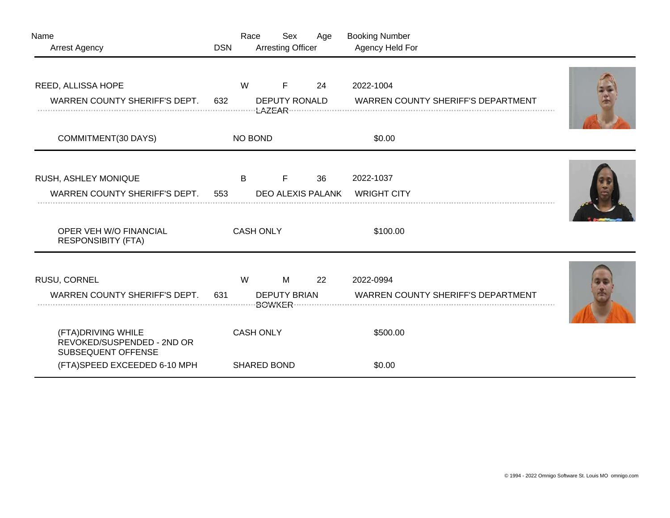| Name                                                                    |            | Race             | Sex                      | Age | <b>Booking Number</b>                     |  |
|-------------------------------------------------------------------------|------------|------------------|--------------------------|-----|-------------------------------------------|--|
| <b>Arrest Agency</b>                                                    | <b>DSN</b> |                  | <b>Arresting Officer</b> |     | Agency Held For                           |  |
| REED, ALLISSA HOPE                                                      |            | W                | F                        | 24  | 2022-1004                                 |  |
| WARREN COUNTY SHERIFF'S DEPT.                                           | 632        |                  | <b>DEPUTY RONALD</b>     |     | <b>WARREN COUNTY SHERIFF'S DEPARTMENT</b> |  |
|                                                                         |            |                  |                          |     |                                           |  |
| COMMITMENT(30 DAYS)                                                     |            | NO BOND          |                          |     | \$0.00                                    |  |
|                                                                         |            |                  |                          |     |                                           |  |
| RUSH, ASHLEY MONIQUE                                                    |            | B                | F                        | 36  | 2022-1037                                 |  |
| WARREN COUNTY SHERIFF'S DEPT.                                           | 553        |                  | DEO ALEXIS PALANK        |     | <b>WRIGHT CITY</b>                        |  |
|                                                                         |            |                  |                          |     |                                           |  |
| OPER VEH W/O FINANCIAL<br><b>RESPONSIBITY (FTA)</b>                     |            | <b>CASH ONLY</b> |                          |     | \$100.00                                  |  |
|                                                                         |            |                  |                          |     |                                           |  |
| RUSU, CORNEL                                                            |            | W                | M                        | 22  | 2022-0994                                 |  |
| WARREN COUNTY SHERIFF'S DEPT.                                           | 631        |                  | <b>DEPUTY BRIAN</b>      |     | <b>WARREN COUNTY SHERIFF'S DEPARTMENT</b> |  |
|                                                                         |            |                  |                          |     |                                           |  |
| (FTA) DRIVING WHILE<br>REVOKED/SUSPENDED - 2ND OR<br>SUBSEQUENT OFFENSE |            | <b>CASH ONLY</b> |                          |     | \$500.00                                  |  |
| (FTA)SPEED EXCEEDED 6-10 MPH                                            |            |                  | <b>SHARED BOND</b>       |     | \$0.00                                    |  |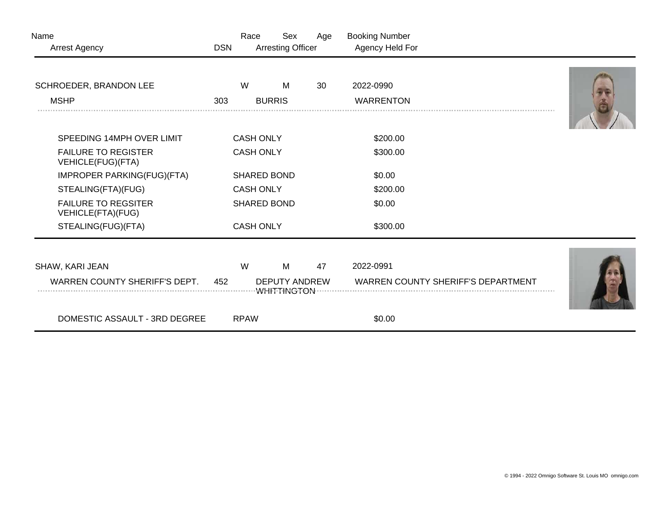| Name<br><b>Arrest Agency</b>                    | <b>DSN</b>                                        | Race               | Sex<br><b>Arresting Officer</b> | Age | <b>Booking Number</b><br>Agency Held For  |  |  |
|-------------------------------------------------|---------------------------------------------------|--------------------|---------------------------------|-----|-------------------------------------------|--|--|
| SCHROEDER, BRANDON LEE                          |                                                   | W                  | M                               | 30  | 2022-0990                                 |  |  |
| <b>MSHP</b>                                     | 303                                               |                    | <b>BURRIS</b>                   |     | <b>WARRENTON</b>                          |  |  |
| SPEEDING 14MPH OVER LIMIT                       |                                                   | <b>CASH ONLY</b>   |                                 |     | \$200.00                                  |  |  |
| <b>FAILURE TO REGISTER</b><br>VEHICLE(FUG)(FTA) |                                                   | <b>CASH ONLY</b>   |                                 |     | \$300.00                                  |  |  |
| IMPROPER PARKING(FUG)(FTA)                      |                                                   | <b>SHARED BOND</b> |                                 |     | \$0.00                                    |  |  |
| STEALING(FTA)(FUG)                              |                                                   | <b>CASH ONLY</b>   |                                 |     | \$200.00                                  |  |  |
| <b>FAILURE TO REGSITER</b><br>VEHICLE(FTA)(FUG) |                                                   | <b>SHARED BOND</b> |                                 |     | \$0.00                                    |  |  |
| STEALING(FUG)(FTA)                              |                                                   | <b>CASH ONLY</b>   |                                 |     | \$300.00                                  |  |  |
| SHAW, KARI JEAN                                 |                                                   | W                  | M                               | 47  | 2022-0991                                 |  |  |
| WARREN COUNTY SHERIFF'S DEPT.                   | <b>DEPUTY ANDREW</b><br>452<br><b>WHITTINGTON</b> |                    |                                 |     | <b>WARREN COUNTY SHERIFF'S DEPARTMENT</b> |  |  |
| DOMESTIC ASSAULT - 3RD DEGREE                   |                                                   | <b>RPAW</b>        |                                 |     | \$0.00                                    |  |  |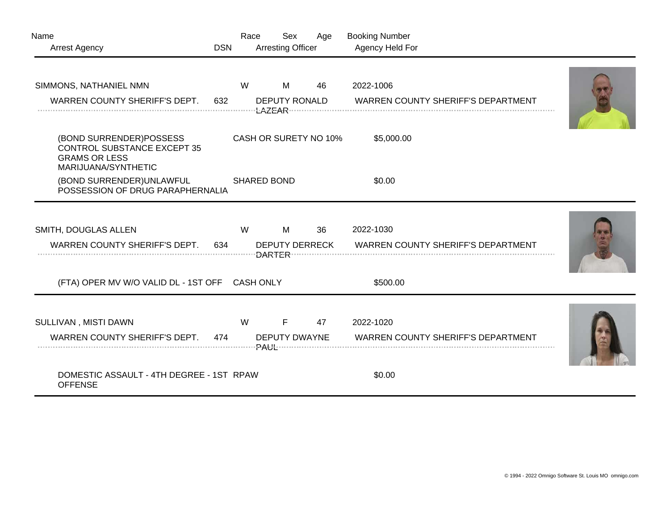| Name<br><b>Arrest Agency</b>                                                                                 | <b>DSN</b> | Race               | Sex<br><b>Arresting Officer</b> | Age                   | <b>Booking Number</b><br>Agency Held For  |  |
|--------------------------------------------------------------------------------------------------------------|------------|--------------------|---------------------------------|-----------------------|-------------------------------------------|--|
| SIMMONS, NATHANIEL NMN                                                                                       |            | W                  | M                               | 46                    | 2022-1006                                 |  |
| WARREN COUNTY SHERIFF'S DEPT.                                                                                | 632        |                    | <b>DEPUTY RONALD</b>            |                       | <b>WARREN COUNTY SHERIFF'S DEPARTMENT</b> |  |
| (BOND SURRENDER)POSSESS<br><b>CONTROL SUBSTANCE EXCEPT 35</b><br><b>GRAMS OR LESS</b><br>MARIJUANA/SYNTHETIC |            |                    |                                 | CASH OR SURETY NO 10% | \$5,000.00                                |  |
| (BOND SURRENDER)UNLAWFUL<br>POSSESSION OF DRUG PARAPHERNALIA                                                 |            | <b>SHARED BOND</b> |                                 |                       | \$0.00                                    |  |
| SMITH, DOUGLAS ALLEN                                                                                         |            | W                  | М                               | 36                    | 2022-1030                                 |  |
| WARREN COUNTY SHERIFF'S DEPT.                                                                                | 634        |                    | <b>DEPUTY DERRECK</b>           |                       | <b>WARREN COUNTY SHERIFF'S DEPARTMENT</b> |  |
| (FTA) OPER MV W/O VALID DL - 1ST OFF CASH ONLY                                                               |            |                    |                                 |                       | \$500.00                                  |  |
| SULLIVAN, MISTI DAWN                                                                                         |            | W                  | F                               | 47                    | 2022-1020                                 |  |
| WARREN COUNTY SHERIFF'S DEPT.                                                                                | 474        |                    | <b>DEPUTY DWAYNE</b>            |                       | <b>WARREN COUNTY SHERIFF'S DEPARTMENT</b> |  |
| DOMESTIC ASSAULT - 4TH DEGREE - 1ST RPAW<br><b>OFFENSE</b>                                                   |            |                    |                                 |                       | \$0.00                                    |  |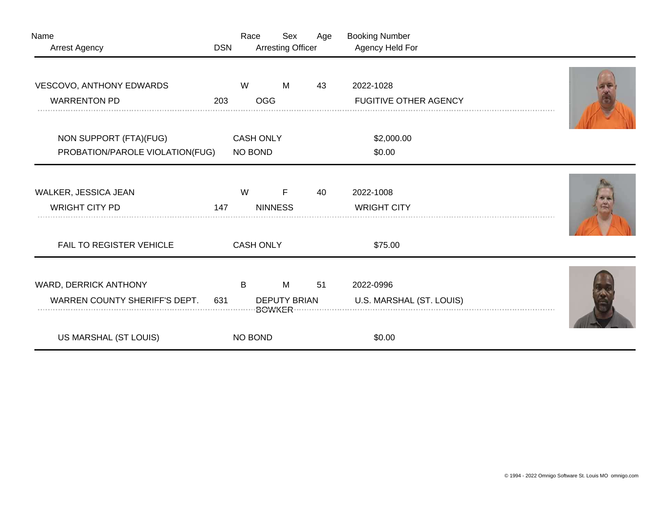| Name<br><b>Arrest Agency</b>         | <b>DSN</b> | Race             | Sex<br><b>Arresting Officer</b> | Age | <b>Booking Number</b><br>Agency Held For |  |
|--------------------------------------|------------|------------------|---------------------------------|-----|------------------------------------------|--|
|                                      |            |                  |                                 |     |                                          |  |
| VESCOVO, ANTHONY EDWARDS             |            | W                | M                               | 43  | 2022-1028                                |  |
| <b>WARRENTON PD</b>                  | 203        | <b>OGG</b>       |                                 |     | <b>FUGITIVE OTHER AGENCY</b>             |  |
| NON SUPPORT (FTA)(FUG)               |            | <b>CASH ONLY</b> |                                 |     | \$2,000.00                               |  |
| PROBATION/PAROLE VIOLATION(FUG)      |            | <b>NO BOND</b>   |                                 |     | \$0.00                                   |  |
| WALKER, JESSICA JEAN                 |            | W                | F                               | 40  | 2022-1008                                |  |
| <b>WRIGHT CITY PD</b>                | 147        |                  | <b>NINNESS</b>                  |     | <b>WRIGHT CITY</b>                       |  |
| FAIL TO REGISTER VEHICLE             |            | <b>CASH ONLY</b> |                                 |     | \$75.00                                  |  |
| WARD, DERRICK ANTHONY                |            | B                | M                               | 51  | 2022-0996                                |  |
| <b>WARREN COUNTY SHERIFF'S DEPT.</b> | 631        |                  | <b>DEPUTY BRIAN</b>             |     | U.S. MARSHAL (ST. LOUIS)                 |  |
|                                      |            |                  | <b>BOWKER</b>                   |     |                                          |  |
| US MARSHAL (ST LOUIS)                |            | <b>NO BOND</b>   |                                 |     | \$0.00                                   |  |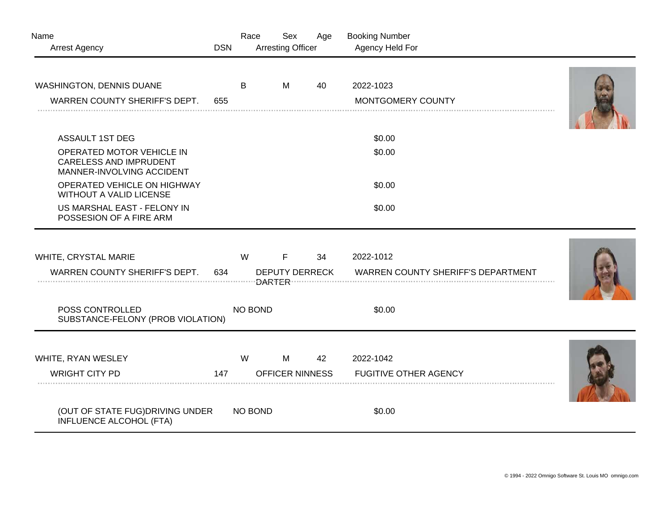| Name<br><b>Arrest Agency</b>                                                            | <b>DSN</b> | Race                  | Sex<br><b>Arresting Officer</b> | Age | <b>Booking Number</b><br>Agency Held For  |  |
|-----------------------------------------------------------------------------------------|------------|-----------------------|---------------------------------|-----|-------------------------------------------|--|
| WASHINGTON, DENNIS DUANE<br><b>WARREN COUNTY SHERIFF'S DEPT.</b>                        | 655        | B                     | M                               | 40  | 2022-1023<br>MONTGOMERY COUNTY            |  |
| ASSAULT 1ST DEG                                                                         |            |                       |                                 |     | \$0.00                                    |  |
| OPERATED MOTOR VEHICLE IN<br><b>CARELESS AND IMPRUDENT</b><br>MANNER-INVOLVING ACCIDENT |            |                       |                                 |     | \$0.00                                    |  |
| OPERATED VEHICLE ON HIGHWAY<br><b>WITHOUT A VALID LICENSE</b>                           |            |                       |                                 |     | \$0.00                                    |  |
| US MARSHAL EAST - FELONY IN<br>POSSESION OF A FIRE ARM                                  |            |                       |                                 |     | \$0.00                                    |  |
| WHITE, CRYSTAL MARIE                                                                    |            | W                     | F                               | 34  | 2022-1012                                 |  |
| <b>WARREN COUNTY SHERIFF'S DEPT.</b>                                                    | 634        | <b>DEPUTY DERRECK</b> |                                 |     | <b>WARREN COUNTY SHERIFF'S DEPARTMENT</b> |  |
| POSS CONTROLLED<br>SUBSTANCE-FELONY (PROB VIOLATION)                                    |            | NO BOND               |                                 |     | \$0.00                                    |  |
| WHITE, RYAN WESLEY                                                                      |            | W                     | M                               | 42  | 2022-1042                                 |  |
| <b>WRIGHT CITY PD</b>                                                                   | 147        |                       | OFFICER NINNESS                 |     | <b>FUGITIVE OTHER AGENCY</b>              |  |
| (OUT OF STATE FUG) DRIVING UNDER<br><b>INFLUENCE ALCOHOL (FTA)</b>                      |            | NO BOND               |                                 |     | \$0.00                                    |  |